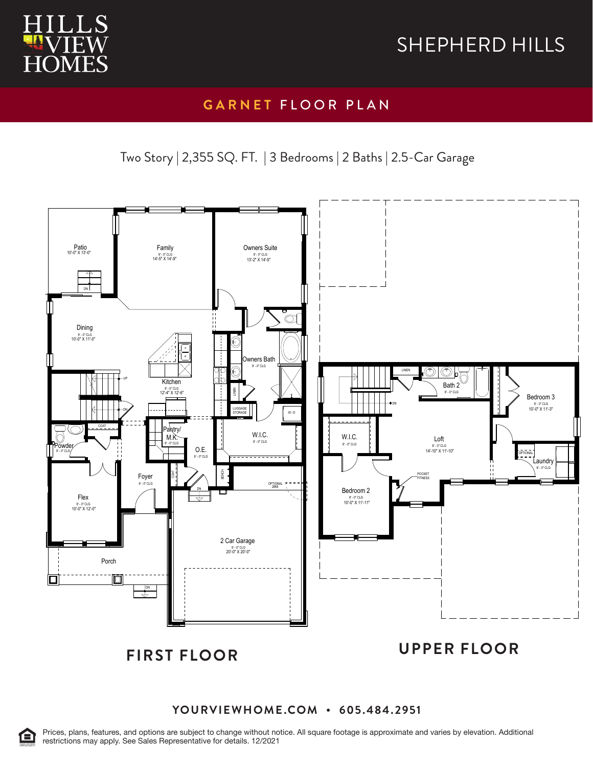

### **GARNET** FLOOR PLAN

Two Story | 2,355 SQ. FT. | 3 Bedrooms | 2 Baths | 2.5-Car Garage



#### **YOURVIEWHOME.COM • 605.484.2951**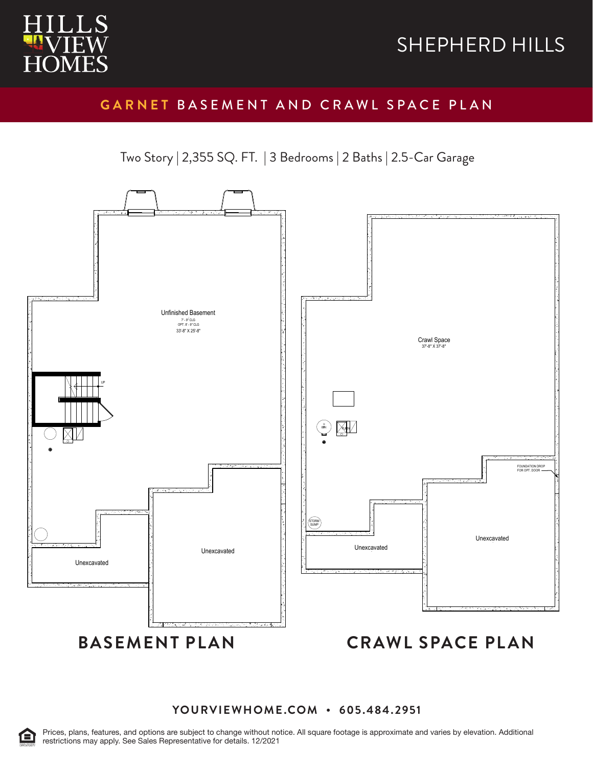

#### **GARNET** BASEMENT AND CRAWL SPACE PLAN

Two Story | 2,355 SQ. FT. | 3 Bedrooms | 2 Baths | 2.5-Car Garage



#### **YOURVIEWHOME.COM • 605.484.2951**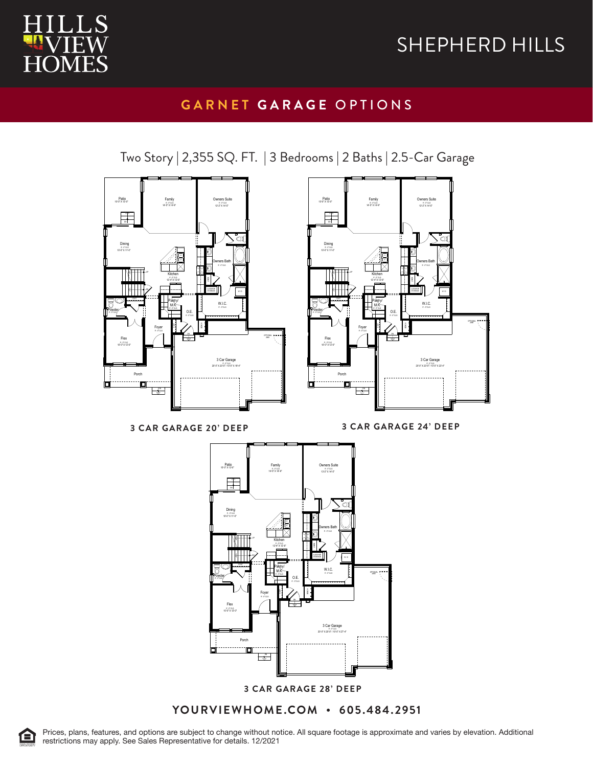

#### **GARNET GARAGE** OPTIONS

Two Story | 2,355 SQ. FT. | 3 Bedrooms | 2 Baths | 2.5-Car Garage





**3 CAR GARAGE 20' DEEP 3 CAR GARAGE 24' DEEP**

3 CAR GARAGE 24' DEEP



**YOURVIEWHOME.COM • 605.484.2951**



Prices, plans, features, and options are subject to change without notice. All square footage is approximate and varies by elevation. Additional restrictions may apply. See Sales Representative for details. 12/2021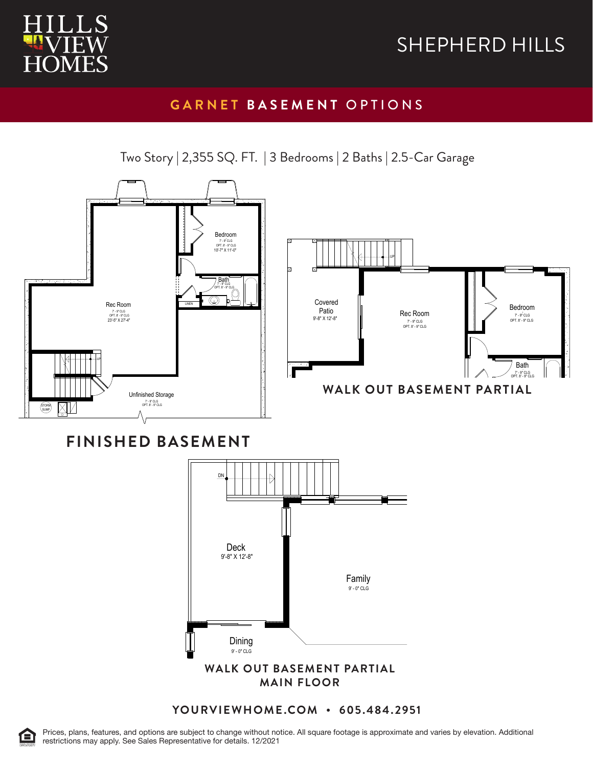

### **GARNET BASEMENT** OPTIONS

Two Story | 2,355 SQ. FT. | 3 Bedrooms | 2 Baths | 2.5-Car Garage

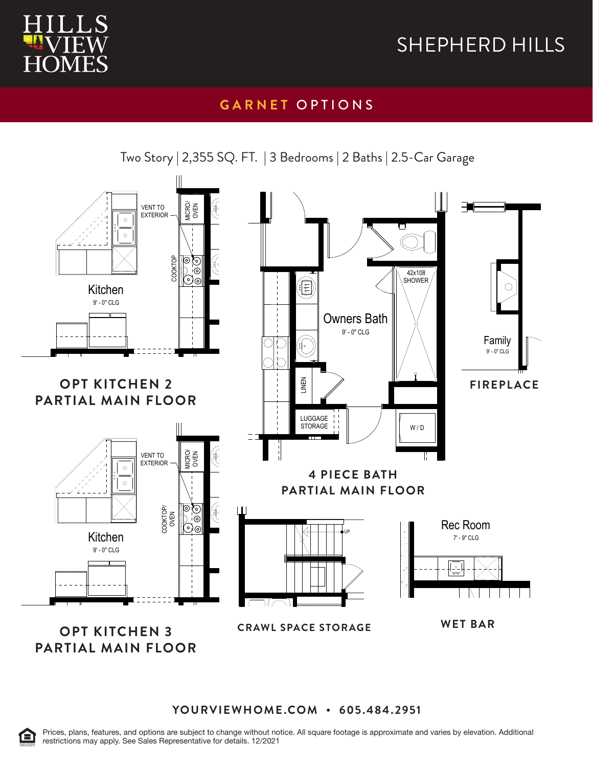

### **GARNET** OPTIONS



Two Story | 2,355 SQ. FT. | 3 Bedrooms | 2 Baths | 2.5-Car Garage

OPT KITCHEN 3 Partial Main Floor Plan **OPT KITCHEN 3 PARTIAL MAIN FLOOR** CRAWL SPACE STORAGE

WET BAR

**YOURVIEWHOME.COM • 605.484.2951**